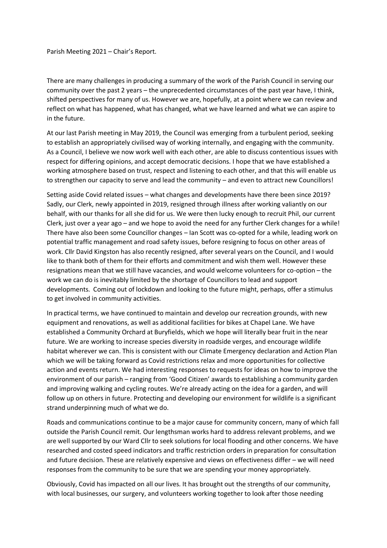Parish Meeting 2021 – Chair's Report.

There are many challenges in producing a summary of the work of the Parish Council in serving our community over the past 2 years – the unprecedented circumstances of the past year have, I think, shifted perspectives for many of us. However we are, hopefully, at a point where we can review and reflect on what has happened, what has changed, what we have learned and what we can aspire to in the future.

At our last Parish meeting in May 2019, the Council was emerging from a turbulent period, seeking to establish an appropriately civilised way of working internally, and engaging with the community. As a Council, I believe we now work well with each other, are able to discuss contentious issues with respect for differing opinions, and accept democratic decisions. I hope that we have established a working atmosphere based on trust, respect and listening to each other, and that this will enable us to strengthen our capacity to serve and lead the community – and even to attract new Councillors!

Setting aside Covid related issues – what changes and developments have there been since 2019? Sadly, our Clerk, newly appointed in 2019, resigned through illness after working valiantly on our behalf, with our thanks for all she did for us. We were then lucky enough to recruit Phil, our current Clerk, just over a year ago – and we hope to avoid the need for any further Clerk changes for a while! There have also been some Councillor changes – Ian Scott was co-opted for a while, leading work on potential traffic management and road safety issues, before resigning to focus on other areas of work. Cllr David Kingston has also recently resigned, after several years on the Council, and I would like to thank both of them for their efforts and commitment and wish them well. However these resignations mean that we still have vacancies, and would welcome volunteers for co-option – the work we can do is inevitably limited by the shortage of Councillors to lead and support developments. Coming out of lockdown and looking to the future might, perhaps, offer a stimulus to get involved in community activities.

In practical terms, we have continued to maintain and develop our recreation grounds, with new equipment and renovations, as well as additional facilities for bikes at Chapel Lane. We have established a Community Orchard at Buryfields, which we hope will literally bear fruit in the near future. We are working to increase species diversity in roadside verges, and encourage wildlife habitat wherever we can. This is consistent with our Climate Emergency declaration and Action Plan which we will be taking forward as Covid restrictions relax and more opportunities for collective action and events return. We had interesting responses to requests for ideas on how to improve the environment of our parish – ranging from 'Good Citizen' awards to establishing a community garden and improving walking and cycling routes. We're already acting on the idea for a garden, and will follow up on others in future. Protecting and developing our environment for wildlife is a significant strand underpinning much of what we do.

Roads and communications continue to be a major cause for community concern, many of which fall outside the Parish Council remit. Our lengthsman works hard to address relevant problems, and we are well supported by our Ward Cllr to seek solutions for local flooding and other concerns. We have researched and costed speed indicators and traffic restriction orders in preparation for consultation and future decision. These are relatively expensive and views on effectiveness differ – we will need responses from the community to be sure that we are spending your money appropriately.

Obviously, Covid has impacted on all our lives. It has brought out the strengths of our community, with local businesses, our surgery, and volunteers working together to look after those needing